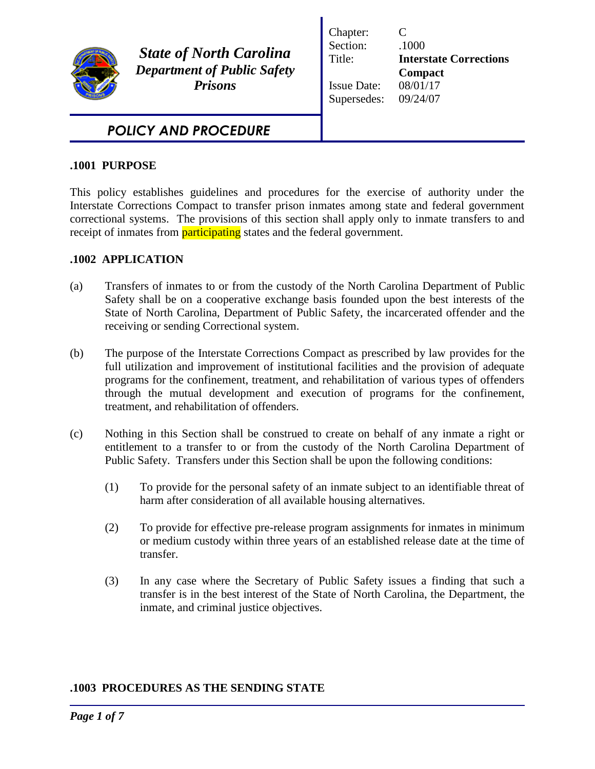

*State of North Carolina Department of Public Safety Prisons*

Chapter: C Section:  $.1000$ Title: **Interstate Corrections Compact** Issue Date: 08/01/17 Supersedes: 09/24/07

# *POLICY AND PROCEDURE*

### **.1001 PURPOSE**

This policy establishes guidelines and procedures for the exercise of authority under the Interstate Corrections Compact to transfer prison inmates among state and federal government correctional systems. The provisions of this section shall apply only to inmate transfers to and receipt of inmates from **participating** states and the federal government.

## **.1002 APPLICATION**

- (a) Transfers of inmates to or from the custody of the North Carolina Department of Public Safety shall be on a cooperative exchange basis founded upon the best interests of the State of North Carolina, Department of Public Safety, the incarcerated offender and the receiving or sending Correctional system.
- (b) The purpose of the Interstate Corrections Compact as prescribed by law provides for the full utilization and improvement of institutional facilities and the provision of adequate programs for the confinement, treatment, and rehabilitation of various types of offenders through the mutual development and execution of programs for the confinement, treatment, and rehabilitation of offenders.
- (c) Nothing in this Section shall be construed to create on behalf of any inmate a right or entitlement to a transfer to or from the custody of the North Carolina Department of Public Safety. Transfers under this Section shall be upon the following conditions:
	- (1) To provide for the personal safety of an inmate subject to an identifiable threat of harm after consideration of all available housing alternatives.
	- (2) To provide for effective pre-release program assignments for inmates in minimum or medium custody within three years of an established release date at the time of transfer.
	- (3) In any case where the Secretary of Public Safety issues a finding that such a transfer is in the best interest of the State of North Carolina, the Department, the inmate, and criminal justice objectives.

### **.1003 PROCEDURES AS THE SENDING STATE**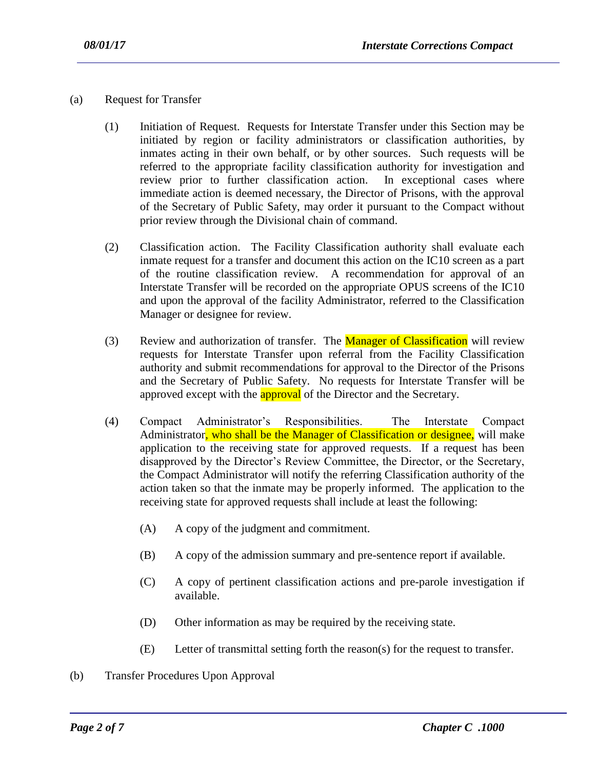- (a) Request for Transfer
	- (1) Initiation of Request. Requests for Interstate Transfer under this Section may be initiated by region or facility administrators or classification authorities, by inmates acting in their own behalf, or by other sources. Such requests will be referred to the appropriate facility classification authority for investigation and review prior to further classification action. In exceptional cases where immediate action is deemed necessary, the Director of Prisons, with the approval of the Secretary of Public Safety, may order it pursuant to the Compact without prior review through the Divisional chain of command.
	- (2) Classification action. The Facility Classification authority shall evaluate each inmate request for a transfer and document this action on the IC10 screen as a part of the routine classification review. A recommendation for approval of an Interstate Transfer will be recorded on the appropriate OPUS screens of the IC10 and upon the approval of the facility Administrator, referred to the Classification Manager or designee for review.
	- (3) Review and authorization of transfer. The **Manager of Classification** will review requests for Interstate Transfer upon referral from the Facility Classification authority and submit recommendations for approval to the Director of the Prisons and the Secretary of Public Safety. No requests for Interstate Transfer will be approved except with the **approval** of the Director and the Secretary.
	- (4) Compact Administrator's Responsibilities. The Interstate Compact Administrator, who shall be the Manager of Classification or designee, will make application to the receiving state for approved requests. If a request has been disapproved by the Director's Review Committee, the Director, or the Secretary, the Compact Administrator will notify the referring Classification authority of the action taken so that the inmate may be properly informed. The application to the receiving state for approved requests shall include at least the following:
		- (A) A copy of the judgment and commitment.
		- (B) A copy of the admission summary and pre-sentence report if available.
		- (C) A copy of pertinent classification actions and pre-parole investigation if available.
		- (D) Other information as may be required by the receiving state.

- (E) Letter of transmittal setting forth the reason(s) for the request to transfer.
- (b) Transfer Procedures Upon Approval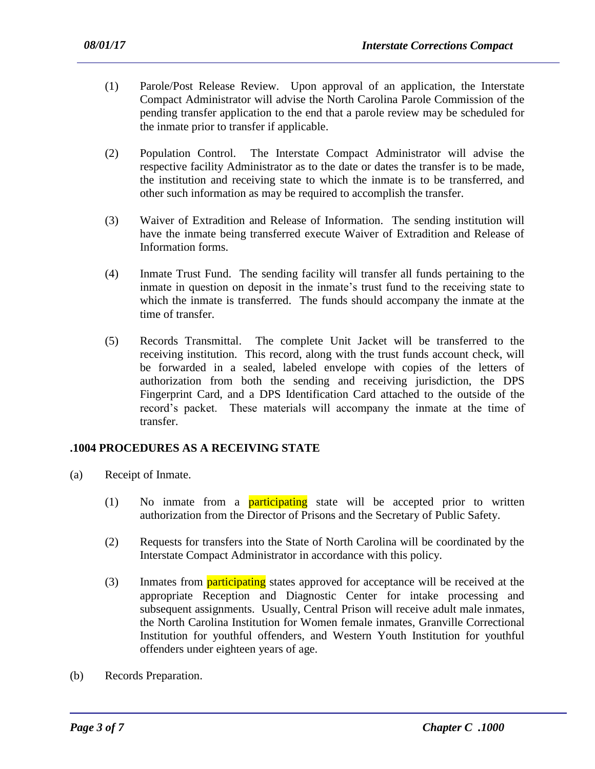- (1) Parole/Post Release Review. Upon approval of an application, the Interstate Compact Administrator will advise the North Carolina Parole Commission of the pending transfer application to the end that a parole review may be scheduled for the inmate prior to transfer if applicable.
- (2) Population Control. The Interstate Compact Administrator will advise the respective facility Administrator as to the date or dates the transfer is to be made, the institution and receiving state to which the inmate is to be transferred, and other such information as may be required to accomplish the transfer.
- (3) Waiver of Extradition and Release of Information. The sending institution will have the inmate being transferred execute Waiver of Extradition and Release of Information forms.
- (4) Inmate Trust Fund. The sending facility will transfer all funds pertaining to the inmate in question on deposit in the inmate's trust fund to the receiving state to which the inmate is transferred. The funds should accompany the inmate at the time of transfer.
- (5) Records Transmittal. The complete Unit Jacket will be transferred to the receiving institution. This record, along with the trust funds account check, will be forwarded in a sealed, labeled envelope with copies of the letters of authorization from both the sending and receiving jurisdiction, the DPS Fingerprint Card, and a DPS Identification Card attached to the outside of the record's packet. These materials will accompany the inmate at the time of transfer.

### **.1004 PROCEDURES AS A RECEIVING STATE**

- (a) Receipt of Inmate.
	- (1) No inmate from a **participating** state will be accepted prior to written authorization from the Director of Prisons and the Secretary of Public Safety.
	- (2) Requests for transfers into the State of North Carolina will be coordinated by the Interstate Compact Administrator in accordance with this policy.
	- (3) Inmates from **participating** states approved for acceptance will be received at the appropriate Reception and Diagnostic Center for intake processing and subsequent assignments. Usually, Central Prison will receive adult male inmates, the North Carolina Institution for Women female inmates, Granville Correctional Institution for youthful offenders, and Western Youth Institution for youthful offenders under eighteen years of age.

(b) Records Preparation.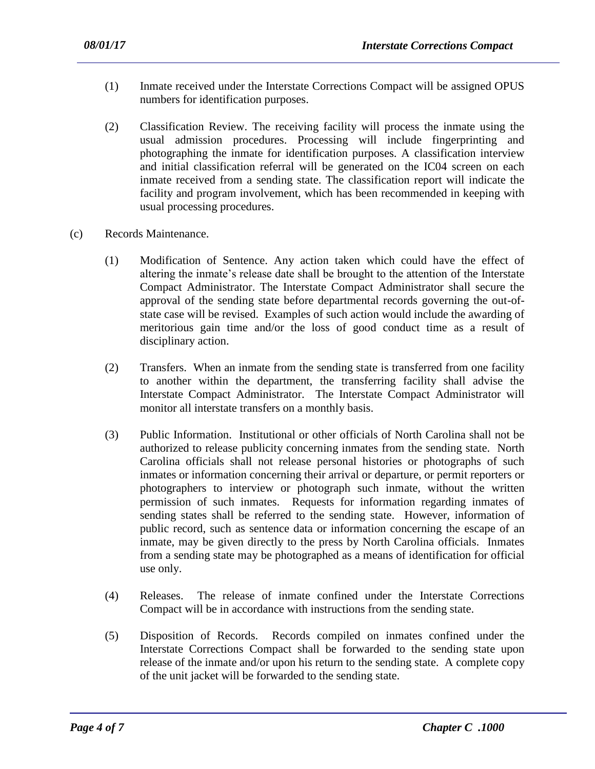- (1) Inmate received under the Interstate Corrections Compact will be assigned OPUS numbers for identification purposes.
- (2) Classification Review. The receiving facility will process the inmate using the usual admission procedures. Processing will include fingerprinting and photographing the inmate for identification purposes. A classification interview and initial classification referral will be generated on the IC04 screen on each inmate received from a sending state. The classification report will indicate the facility and program involvement, which has been recommended in keeping with usual processing procedures.
- (c) Records Maintenance.
	- (1) Modification of Sentence. Any action taken which could have the effect of altering the inmate's release date shall be brought to the attention of the Interstate Compact Administrator. The Interstate Compact Administrator shall secure the approval of the sending state before departmental records governing the out-ofstate case will be revised. Examples of such action would include the awarding of meritorious gain time and/or the loss of good conduct time as a result of disciplinary action.
	- (2) Transfers. When an inmate from the sending state is transferred from one facility to another within the department, the transferring facility shall advise the Interstate Compact Administrator. The Interstate Compact Administrator will monitor all interstate transfers on a monthly basis.
	- (3) Public Information. Institutional or other officials of North Carolina shall not be authorized to release publicity concerning inmates from the sending state. North Carolina officials shall not release personal histories or photographs of such inmates or information concerning their arrival or departure, or permit reporters or photographers to interview or photograph such inmate, without the written permission of such inmates. Requests for information regarding inmates of sending states shall be referred to the sending state. However, information of public record, such as sentence data or information concerning the escape of an inmate, may be given directly to the press by North Carolina officials. Inmates from a sending state may be photographed as a means of identification for official use only.
	- (4) Releases. The release of inmate confined under the Interstate Corrections Compact will be in accordance with instructions from the sending state.
	- (5) Disposition of Records. Records compiled on inmates confined under the Interstate Corrections Compact shall be forwarded to the sending state upon release of the inmate and/or upon his return to the sending state. A complete copy of the unit jacket will be forwarded to the sending state.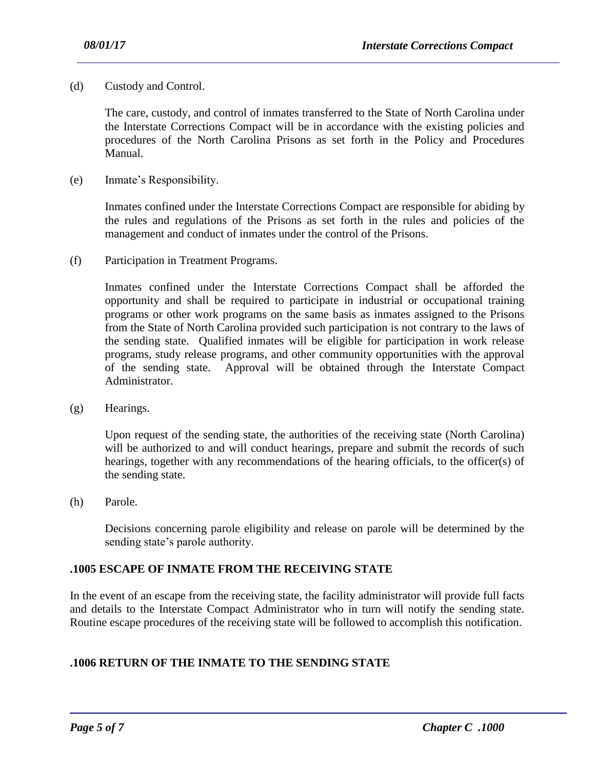(d) Custody and Control.

The care, custody, and control of inmates transferred to the State of North Carolina under the Interstate Corrections Compact will be in accordance with the existing policies and procedures of the North Carolina Prisons as set forth in the Policy and Procedures Manual.

(e) Inmate's Responsibility.

Inmates confined under the Interstate Corrections Compact are responsible for abiding by the rules and regulations of the Prisons as set forth in the rules and policies of the management and conduct of inmates under the control of the Prisons.

(f) Participation in Treatment Programs.

Inmates confined under the Interstate Corrections Compact shall be afforded the opportunity and shall be required to participate in industrial or occupational training programs or other work programs on the same basis as inmates assigned to the Prisons from the State of North Carolina provided such participation is not contrary to the laws of the sending state. Qualified inmates will be eligible for participation in work release programs, study release programs, and other community opportunities with the approval of the sending state. Approval will be obtained through the Interstate Compact Administrator.

(g) Hearings.

Upon request of the sending state, the authorities of the receiving state (North Carolina) will be authorized to and will conduct hearings, prepare and submit the records of such hearings, together with any recommendations of the hearing officials, to the officer(s) of the sending state.

(h) Parole.

Decisions concerning parole eligibility and release on parole will be determined by the sending state's parole authority.

#### **.1005 ESCAPE OF INMATE FROM THE RECEIVING STATE**

In the event of an escape from the receiving state, the facility administrator will provide full facts and details to the Interstate Compact Administrator who in turn will notify the sending state. Routine escape procedures of the receiving state will be followed to accomplish this notification.

# **.1006 RETURN OF THE INMATE TO THE SENDING STATE**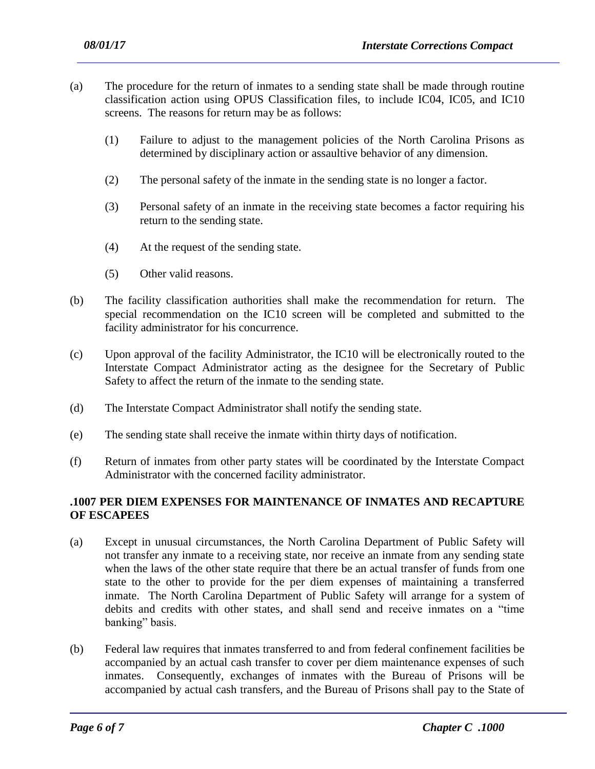- (a) The procedure for the return of inmates to a sending state shall be made through routine classification action using OPUS Classification files, to include IC04, IC05, and IC10 screens. The reasons for return may be as follows:
	- (1) Failure to adjust to the management policies of the North Carolina Prisons as determined by disciplinary action or assaultive behavior of any dimension.
	- (2) The personal safety of the inmate in the sending state is no longer a factor.
	- (3) Personal safety of an inmate in the receiving state becomes a factor requiring his return to the sending state.
	- (4) At the request of the sending state.
	- (5) Other valid reasons.
- (b) The facility classification authorities shall make the recommendation for return. The special recommendation on the IC10 screen will be completed and submitted to the facility administrator for his concurrence.
- (c) Upon approval of the facility Administrator, the IC10 will be electronically routed to the Interstate Compact Administrator acting as the designee for the Secretary of Public Safety to affect the return of the inmate to the sending state.
- (d) The Interstate Compact Administrator shall notify the sending state.
- (e) The sending state shall receive the inmate within thirty days of notification.
- (f) Return of inmates from other party states will be coordinated by the Interstate Compact Administrator with the concerned facility administrator.

### **.1007 PER DIEM EXPENSES FOR MAINTENANCE OF INMATES AND RECAPTURE OF ESCAPEES**

- (a) Except in unusual circumstances, the North Carolina Department of Public Safety will not transfer any inmate to a receiving state, nor receive an inmate from any sending state when the laws of the other state require that there be an actual transfer of funds from one state to the other to provide for the per diem expenses of maintaining a transferred inmate. The North Carolina Department of Public Safety will arrange for a system of debits and credits with other states, and shall send and receive inmates on a "time banking" basis.
- (b) Federal law requires that inmates transferred to and from federal confinement facilities be accompanied by an actual cash transfer to cover per diem maintenance expenses of such inmates. Consequently, exchanges of inmates with the Bureau of Prisons will be accompanied by actual cash transfers, and the Bureau of Prisons shall pay to the State of